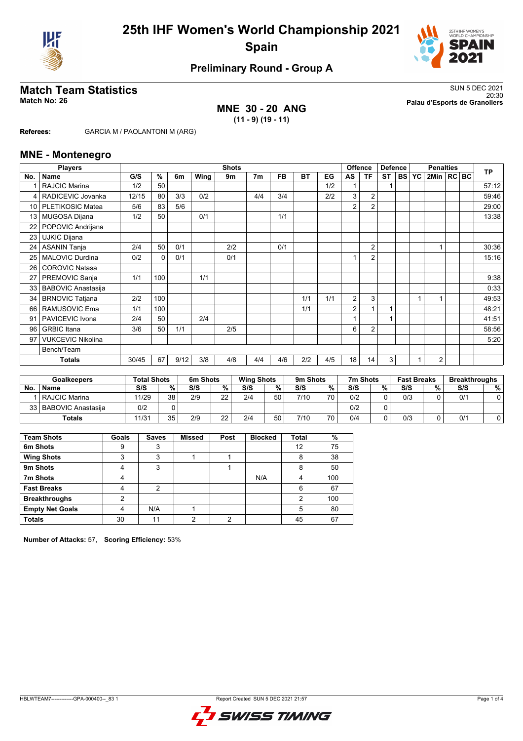



## **Preliminary Round - Group A**

### **MNE 30 - 20 ANG (11 - 9) (19 - 11)**

**Match Team Statistics** SUN 5 DEC 2021 20:30 **Match No: 26 Palau d'Esports de Granollers**

**Referees:** GARCIA M / PAOLANTONI M (ARG)

#### **MNE - Montenegro**

|                 | <b>Players</b>            |       |          |      |      | <b>Shots</b> |                |           |           |     |                | <b>Offence</b> | <b>Defence</b> |              | <b>Penalties</b> |  | <b>TP</b> |
|-----------------|---------------------------|-------|----------|------|------|--------------|----------------|-----------|-----------|-----|----------------|----------------|----------------|--------------|------------------|--|-----------|
| No.             | <b>Name</b>               | G/S   | %        | 6m   | Wing | 9m           | 7 <sub>m</sub> | <b>FB</b> | <b>BT</b> | EG  | AS             | ΤF             | <b>ST</b>      | <b>BS YC</b> | 2Min   RC BC     |  |           |
|                 | <b>RAJCIC Marina</b>      | 1/2   | 50       |      |      |              |                |           |           | 1/2 |                |                |                |              |                  |  | 57:12     |
| 4               | RADICEVIC Jovanka         | 12/15 | 80       | 3/3  | 0/2  |              | 4/4            | 3/4       |           | 2/2 | 3              | $\overline{2}$ |                |              |                  |  | 59:46     |
| 10 <sup>1</sup> | PLETIKOSIC Matea          | 5/6   | 83       | 5/6  |      |              |                |           |           |     | 2              | $\overline{2}$ |                |              |                  |  | 29:00     |
| 13 <sup>1</sup> | <b>MUGOSA Dijana</b>      | 1/2   | 50       |      | 0/1  |              |                | 1/1       |           |     |                |                |                |              |                  |  | 13:38     |
| 22              | POPOVIC Andrijana         |       |          |      |      |              |                |           |           |     |                |                |                |              |                  |  |           |
| 23              | <b>UJKIC Dijana</b>       |       |          |      |      |              |                |           |           |     |                |                |                |              |                  |  |           |
| 24              | <b>ASANIN Tanja</b>       | 2/4   | 50       | 0/1  |      | 2/2          |                | 0/1       |           |     |                | $\overline{2}$ |                |              |                  |  | 30:36     |
| 25              | <b>MALOVIC Durdina</b>    | 0/2   | $\Omega$ | 0/1  |      | 0/1          |                |           |           |     | $\overline{ }$ | $\overline{2}$ |                |              |                  |  | 15:16     |
| 26              | <b>COROVIC Natasa</b>     |       |          |      |      |              |                |           |           |     |                |                |                |              |                  |  |           |
| 27              | PREMOVIC Sanja            | 1/1   | 100      |      | 1/1  |              |                |           |           |     |                |                |                |              |                  |  | 9:38      |
| 33              | <b>BABOVIC Anastasija</b> |       |          |      |      |              |                |           |           |     |                |                |                |              |                  |  | 0:33      |
| 34              | <b>BRNOVIC Tatjana</b>    | 2/2   | 100      |      |      |              |                |           | 1/1       | 1/1 | 2              | 3              |                |              |                  |  | 49:53     |
| 66              | RAMUSOVIC Ema             | 1/1   | 100      |      |      |              |                |           | 1/1       |     | 2              |                |                |              |                  |  | 48:21     |
| 91              | PAVICEVIC Ivona           | 2/4   | 50       |      | 2/4  |              |                |           |           |     |                |                |                |              |                  |  | 41:51     |
| 96              | <b>GRBIC</b> Itana        | 3/6   | 50       | 1/1  |      | 2/5          |                |           |           |     | 6              | $\overline{2}$ |                |              |                  |  | 58:56     |
| 97              | <b>VUKCEVIC Nikolina</b>  |       |          |      |      |              |                |           |           |     |                |                |                |              |                  |  | 5:20      |
|                 | Bench/Team                |       |          |      |      |              |                |           |           |     |                |                |                |              |                  |  |           |
|                 | <b>Totals</b>             | 30/45 | 67       | 9/12 | 3/8  | 4/8          | 4/4            | 4/6       | 2/2       | 4/5 | 18             | 14             | 3              |              | $\overline{2}$   |  |           |

|           | <b>Goalkeepers</b>      | <b>Total Shots</b> |          | 6m Shots |          | <b>Wing Shots</b> |    | 9m Shots |    | 7m Shots |   | <b>Fast Breaks</b> |   | <b>Breakthroughs</b> |   |
|-----------|-------------------------|--------------------|----------|----------|----------|-------------------|----|----------|----|----------|---|--------------------|---|----------------------|---|
| <b>No</b> | <b>Name</b>             | S/S                | %        | S/S      | %        | S/S               | %  | S/S      | %  | S/S      | % | S/S                | % | S/S                  | % |
|           | l RAJCIC Marina         | 11/29              | 38       | 2/9      | 22       | 2/4               | 50 | 7/10     | 70 | 0/2      |   | 0/3                |   | 0'                   |   |
|           | 33   BABOVIC Anastasija | 0/2                |          |          |          |                   |    |          |    | 0/2      |   |                    |   |                      |   |
|           | Totals                  | 11/31              | 35<br>ບບ | 2/9      | つつ<br>∠∠ | 2/4               | 50 | 7/10     | 70 | 0/4      |   | 0/3                |   | 0'                   |   |

| <b>Team Shots</b>      | Goals | <b>Saves</b> | Missed | Post | <b>Blocked</b> | <b>Total</b>   | %   |
|------------------------|-------|--------------|--------|------|----------------|----------------|-----|
| 6m Shots               | 9     | 3            |        |      |                | 12             | 75  |
| <b>Wing Shots</b>      | 3     | 3            |        |      |                | 8              | 38  |
| 9m Shots               | 4     | 3            |        |      |                | 8              | 50  |
| 7m Shots               | 4     |              |        |      | N/A            | 4              | 100 |
| <b>Fast Breaks</b>     | 4     | 2            |        |      |                | 6              | 67  |
| <b>Breakthroughs</b>   | 2     |              |        |      |                | $\mathfrak{p}$ | 100 |
| <b>Empty Net Goals</b> | 4     | N/A          |        |      |                | 5              | 80  |
| <b>Totals</b>          | 30    | 11           | ◠      | ◠    |                | 45             | 67  |

**Number of Attacks:** 57, **Scoring Efficiency:** 53%

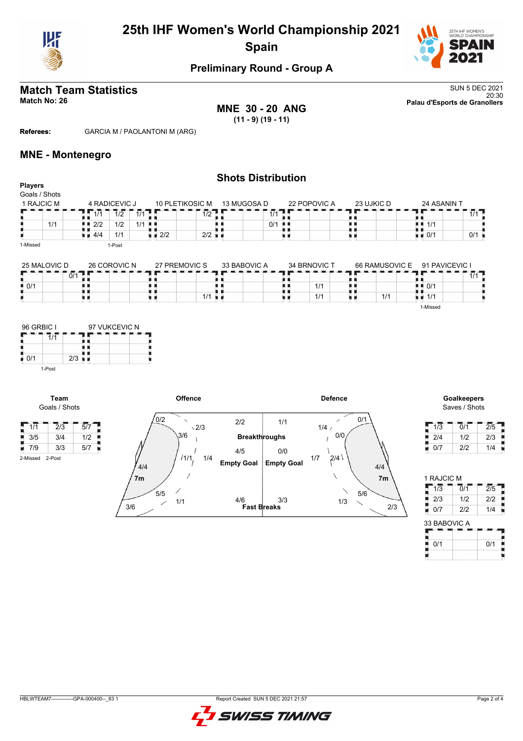

# **25th IHF Women's World Championship 2021 Spain**



## **Preliminary Round - Group A**

# **Match Team Statistics** SUN 5 DEC 2021

**MNE 30 - 20 ANG (11 - 9) (19 - 11)**

**Shots Distribution**

20:30 **Match No: 26 Palau d'Esports de Granollers**

**Referees:** GARCIA M / PAOLANTONI M (ARG)

#### **MNE - Montenegro**

| <b>Players</b><br>Goals / Shots |                    |               |         |                    |                      |              |     |              |            |                |                                   |              |
|---------------------------------|--------------------|---------------|---------|--------------------|----------------------|--------------|-----|--------------|------------|----------------|-----------------------------------|--------------|
| 1 RAJCIC M                      |                    | 4 RADICEVIC J |         |                    | 10 PLETIKOSIC M      | 13 MUGOSA D  |     | 22 POPOVIC A | 23 UJKIC D |                | 24 ASANIN T                       |              |
|                                 | 1/1                | 1/2           | $1/1$ . |                    | 1/2                  | 1/1          |     |              |            |                |                                   | $1/1$ $\Box$ |
| 1/1                             | 2/2                | 1/2           | $1/1$   |                    |                      | 0/1          | . . |              |            |                | 1/1                               |              |
|                                 | $\blacksquare$ 4/4 | 1/1           |         | $\blacksquare$ 2/2 | $2/2$ $\blacksquare$ |              |     |              |            |                | $\bullet$ $\bullet$ 0/1           | 0/1          |
| 1-Missed                        |                    | 1-Post        |         |                    |                      |              |     |              |            |                |                                   |              |
| 25 MALOVIC D                    |                    | 26 COROVIC N  |         |                    | 27 PREMOVIC S        | 33 BABOVIC A |     | 34 BRNOVIC T |            | 66 RAMUSOVIC E | 91 PAVICEVIC I                    |              |
|                                 | $0/1$ $\Box$       |               |         |                    |                      |              |     |              |            |                |                                   | $1/1$ $\Box$ |
| ■ 0/1                           |                    |               |         |                    |                      |              |     | 1/1          |            |                | $\blacksquare$ $\blacksquare$ 0/1 |              |
|                                 |                    |               |         |                    | $1/1$ $\blacksquare$ |              |     | 1/1          |            | 1/1            | $\blacksquare$ $\blacksquare$ 1/1 |              |
|                                 |                    |               |         |                    |                      |              |     |              |            |                | 1-Missed                          |              |



**Team** Goals / Shots

2-Missed 2-Post



# Saves / Shots

| 1/3 | 0/1 | 2/5 |
|-----|-----|-----|
| 2/4 | 1/2 | 2/3 |
| 0/7 | 2/2 | 1/4 |

| 1 RAJCIC M   |                             |                  |
|--------------|-----------------------------|------------------|
| 1/3          | $\overline{0}/\overline{1}$ | $\overline{2}/5$ |
| 2/3          | 1/2                         | 2/2              |
| 0/7          | 2/2                         | 1/4              |
| 33 BABOVIC A |                             |                  |
| 0/1          |                             | 0/1              |
|              |                             |                  |

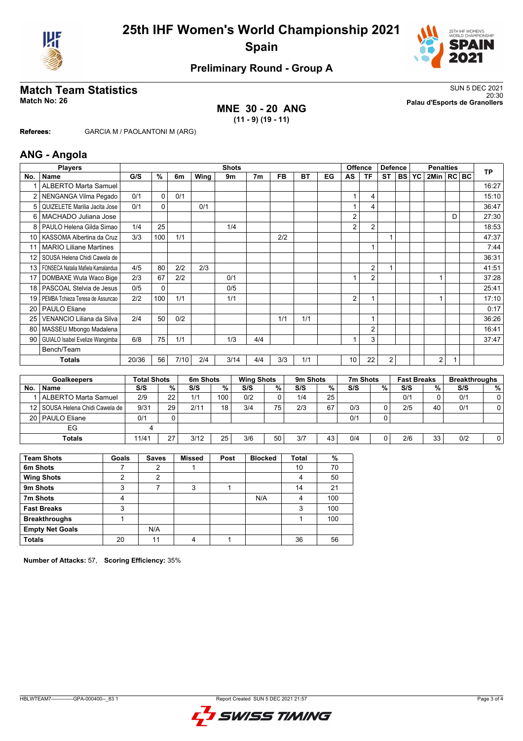



## **Preliminary Round - Group A**

### **MNE 30 - 20 ANG (11 - 9) (19 - 11)**

**Match Team Statistics** SUN 5 DEC 2021 20:30 **Match No: 26 Palau d'Esports de Granollers**

**Referees:** GARCIA M / PAOLANTONI M (ARG)

#### **ANG - Angola**

|                 | <b>Players</b>                     |       |     |      |      | <b>Shots</b> |                |           |           |    |                 | <b>Offence</b> | <b>Defence</b> |       | <b>Penalties</b> |   | <b>TP</b> |
|-----------------|------------------------------------|-------|-----|------|------|--------------|----------------|-----------|-----------|----|-----------------|----------------|----------------|-------|------------------|---|-----------|
| No.             | <b>Name</b>                        | G/S   | %   | 6m   | Wing | 9m           | 7 <sub>m</sub> | <b>FB</b> | <b>BT</b> | EG | AS              | <b>TF</b>      | <b>ST</b>      | BS YC | $2$ Min $ RC BC$ |   |           |
|                 | <b>ALBERTO Marta Samuel</b>        |       |     |      |      |              |                |           |           |    |                 |                |                |       |                  |   | 16:27     |
|                 | NENGANGA Vilma Pegado              | 0/1   | 0   | 0/1  |      |              |                |           |           |    |                 | 4              |                |       |                  |   | 15:10     |
| 5               | QUIZELETE Marilia Jacita Jose      | 0/1   | 0   |      | 0/1  |              |                |           |           |    |                 | 4              |                |       |                  |   | 36:47     |
| 6               | MACHADO Juliana Jose               |       |     |      |      |              |                |           |           |    | 2               |                |                |       |                  | D | 27:30     |
|                 | PAULO Helena Gilda Simao           | 1/4   | 25  |      |      | 1/4          |                |           |           |    | $\overline{2}$  | $\overline{2}$ |                |       |                  |   | 18:53     |
| 10 <sup>1</sup> | KASSOMA Albertina da Cruz          | 3/3   | 100 | 1/1  |      |              |                | 2/2       |           |    |                 |                |                |       |                  |   | 47:37     |
| 11              | <b>MARIO Liliane Martines</b>      |       |     |      |      |              |                |           |           |    |                 | $\mathbf{1}$   |                |       |                  |   | 7:44      |
| 12 <sup>2</sup> | SOUSA Helena Chidi Cawela de       |       |     |      |      |              |                |           |           |    |                 |                |                |       |                  |   | 36:31     |
| 13 <sup>1</sup> | FONSECA Natalia Mafiela Kamalandua | 4/5   | 80  | 2/2  | 2/3  |              |                |           |           |    |                 | $\overline{2}$ |                |       |                  |   | 41:51     |
| 17              | DOMBAXE Wuta Waco Bige             | 2/3   | 67  | 2/2  |      | 0/1          |                |           |           |    |                 | $\overline{2}$ |                |       |                  |   | 37:28     |
| 18              | PASCOAL Stelvia de Jesus           | 0/5   | 0   |      |      | 0/5          |                |           |           |    |                 |                |                |       |                  |   | 25:41     |
| 19              | PEMBA Tchieza Teresa de Assuncao   | 2/2   | 100 | 1/1  |      | 1/1          |                |           |           |    | 2               | 1              |                |       |                  |   | 17:10     |
| 20              | <b>PAULO Eliane</b>                |       |     |      |      |              |                |           |           |    |                 |                |                |       |                  |   | 0:17      |
| 25              | VENANCIO Liliana da Silva          | 2/4   | 50  | 0/2  |      |              |                | 1/1       | 1/1       |    |                 | 1              |                |       |                  |   | 36:26     |
| 80              | MASSEU Mbongo Madalena             |       |     |      |      |              |                |           |           |    |                 | $\overline{2}$ |                |       |                  |   | 16:41     |
| 90 <sub>1</sub> | GUIALO Isabel Evelize Wangimba     | 6/8   | 75  | 1/1  |      | 1/3          | 4/4            |           |           |    |                 | 3              |                |       |                  |   | 37:47     |
|                 | Bench/Team                         |       |     |      |      |              |                |           |           |    |                 |                |                |       |                  |   |           |
|                 | <b>Totals</b>                      | 20/36 | 56  | 7/10 | 2/4  | 3/14         | 4/4            | 3/3       | 1/1       |    | 10 <sup>°</sup> | 22             | $\overline{2}$ |       | $\overline{2}$   | 1 |           |
|                 |                                    |       |     |      |      |              |                |           |           |    |                 |                |                |       |                  |   |           |

| <b>Goalkeepers</b> |                                   | <b>Total Shots</b> |    | 6m Shots |                  |     | <b>Wing Shots</b> |     | 9 <sub>m</sub> Shots |     | 7m Shots |     | <b>Fast Breaks</b> |     | <b>Breakthroughs</b> |  |
|--------------------|-----------------------------------|--------------------|----|----------|------------------|-----|-------------------|-----|----------------------|-----|----------|-----|--------------------|-----|----------------------|--|
| No.                | <b>Name</b>                       | S/S                | %  | S/S      | %                | S/S | %                 | S/S | %.                   | S/S | %        | S/S | %                  | S/S | % 1                  |  |
|                    | ALBERTO Marta Samuel              | 2/9                | 22 | 1/1      | 100 <sub>1</sub> | 0/2 |                   | 1/4 | 25                   |     |          | 0/1 |                    | 0/1 |                      |  |
|                    | 12   SOUSA Helena Chidi Cawela de | 9/31               | 29 | 2/11     | 18               | 3/4 | 75.               | 2/3 | 67                   | 0/3 | 0        | 2/5 | 40                 | 0/1 |                      |  |
|                    | 20   PAULO Eliane                 | 0/1                |    |          |                  |     |                   |     |                      | 0/1 | 0        |     |                    |     |                      |  |
|                    | EG                                |                    |    |          |                  |     |                   |     |                      |     |          |     |                    |     |                      |  |
|                    | Totals                            | 11/41              | 27 | 3/12     | 25               | 3/6 | 50                | 3/7 | 43                   | 0/4 | 0        | 2/6 | 33                 | 0/2 |                      |  |

| <b>Team Shots</b>      | Goals | <b>Saves</b> | <b>Missed</b> | Post | <b>Blocked</b> | <b>Total</b> | %   |
|------------------------|-------|--------------|---------------|------|----------------|--------------|-----|
| 6m Shots               |       |              |               |      |                | 10           | 70  |
| <b>Wing Shots</b>      | າ     | 2            |               |      |                | 4            | 50  |
| 9m Shots               | 3     |              | 3             |      |                | 14           | 21  |
| 7m Shots               | 4     |              |               |      | N/A            | 4            | 100 |
| <b>Fast Breaks</b>     | 3     |              |               |      |                | 3            | 100 |
| <b>Breakthroughs</b>   |       |              |               |      |                |              | 100 |
| <b>Empty Net Goals</b> |       | N/A          |               |      |                |              |     |
| <b>Totals</b>          | 20    | 11           | 4             |      |                | 36           | 56  |

**Number of Attacks:** 57, **Scoring Efficiency:** 35%